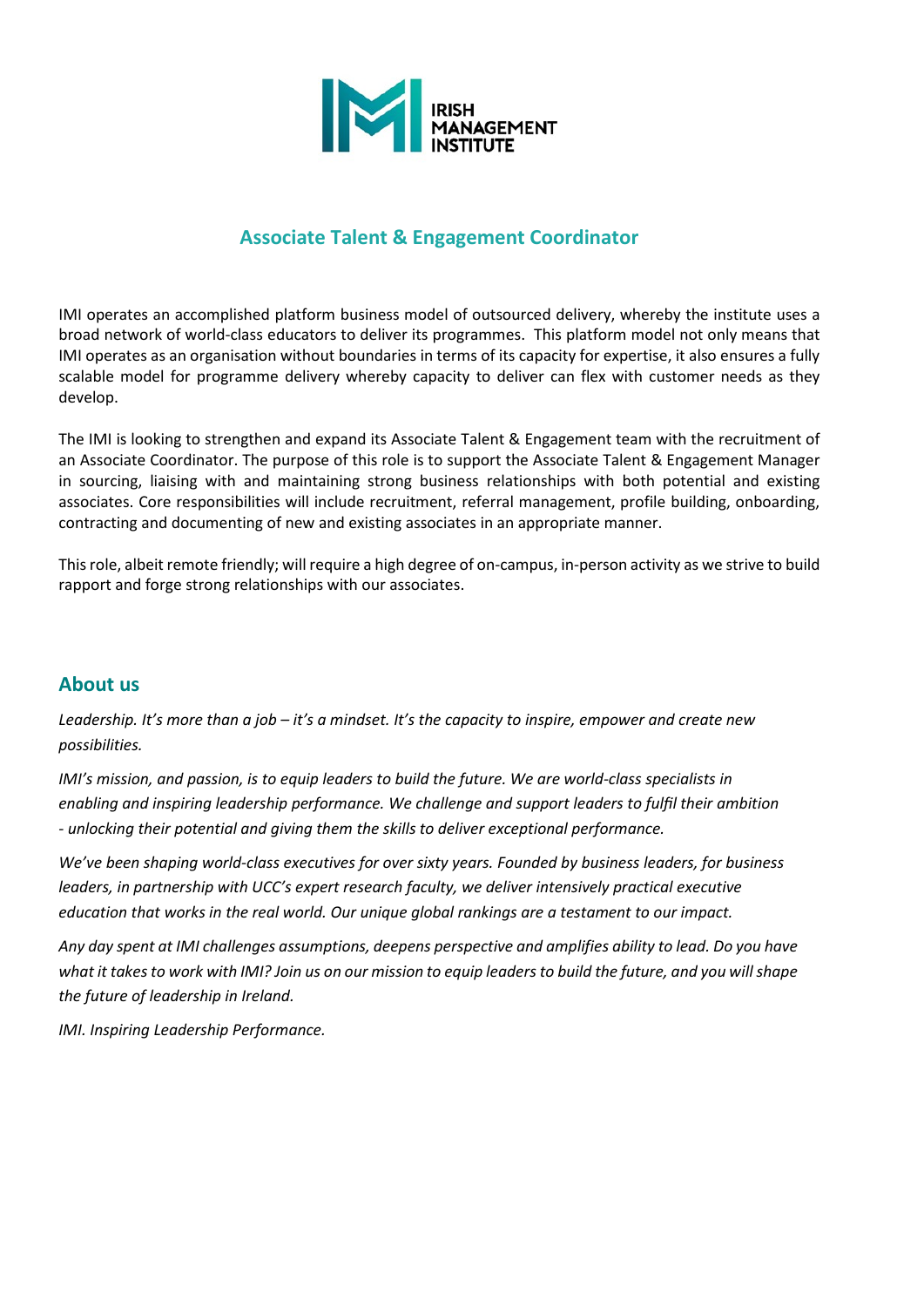

## **Associate Talent & Engagement Coordinator**

IMI operates an accomplished platform business model of outsourced delivery, whereby the institute uses a broad network of world-class educators to deliver its programmes. This platform model not only means that IMI operates as an organisation without boundaries in terms of its capacity for expertise, it also ensures a fully scalable model for programme delivery whereby capacity to deliver can flex with customer needs as they develop.

The IMI is looking to strengthen and expand its Associate Talent & Engagement team with the recruitment of an Associate Coordinator. The purpose of this role is to support the Associate Talent & Engagement Manager in sourcing, liaising with and maintaining strong business relationships with both potential and existing associates. Core responsibilities will include recruitment, referral management, profile building, onboarding, contracting and documenting of new and existing associates in an appropriate manner.

This role, albeit remote friendly; will require a high degree of on-campus, in-person activity as we strive to build rapport and forge strong relationships with our associates.

### **About us**

*Leadership. It's more than a job – it's a mindset. It's the capacity to inspire, empower and create new possibilities.*

*IMI's mission, and passion, is to equip leaders to build the future. We are world-class specialists in enabling and inspiring leadership performance. We challenge and support leaders to fulfil their ambition - unlocking their potential and giving them the skills to deliver exceptional performance.*

*We've been shaping world-class executives for over sixty years. Founded by business leaders, for business leaders, in partnership with UCC's expert research faculty, we deliver intensively practical executive education that works in the real world. Our unique global rankings are a testament to our impact.*

*Any day spent at IMI challenges assumptions, deepens perspective and amplifies ability to lead. Do you have what it takes to work with IMI? Join us on our mission to equip leaders to build the future, and you will shape the future of leadership in Ireland.*

*IMI. Inspiring Leadership Performance.*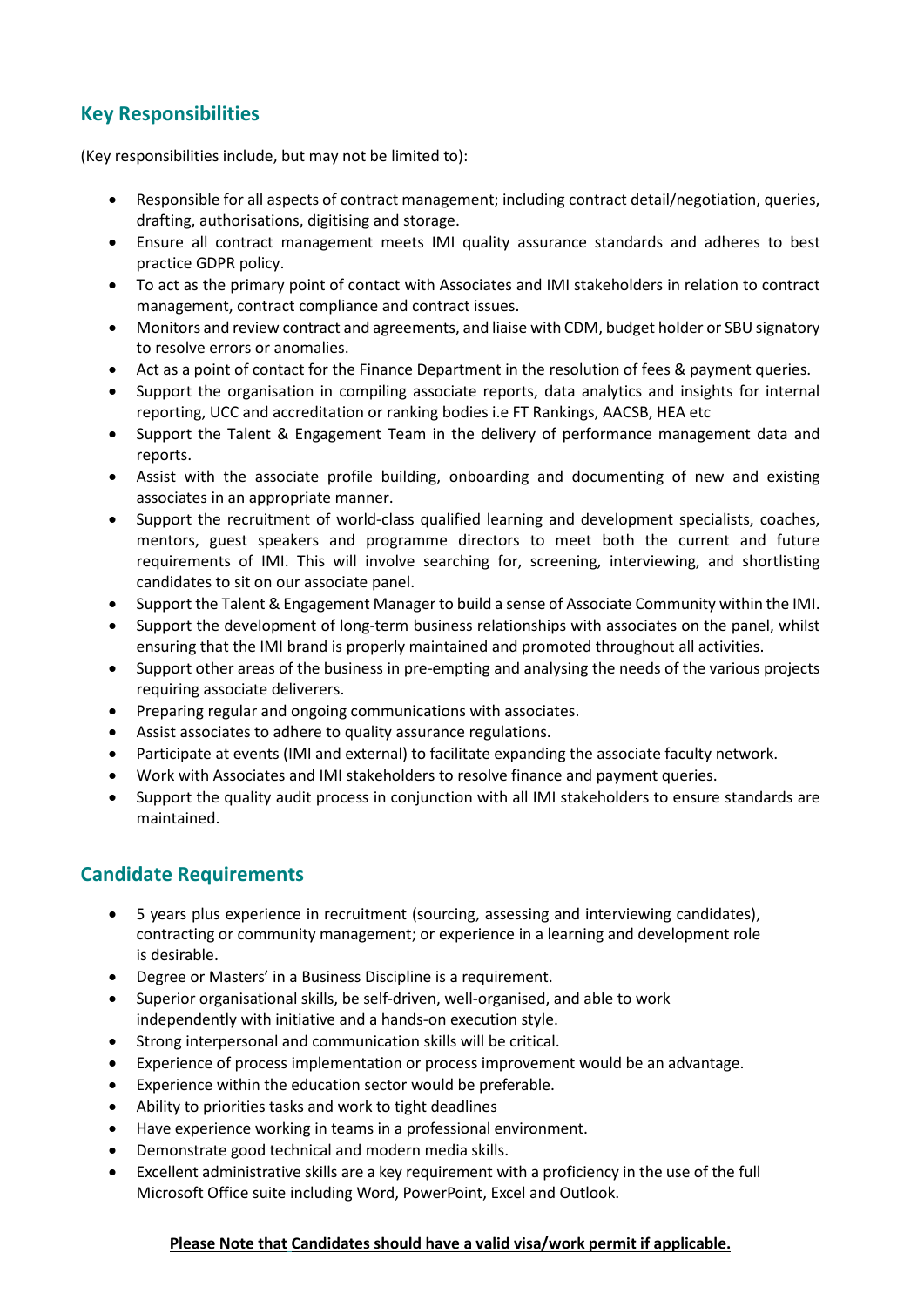# **Key Responsibilities**

(Key responsibilities include, but may not be limited to):

- Responsible for all aspects of contract management; including contract detail/negotiation, queries, drafting, authorisations, digitising and storage.
- Ensure all contract management meets IMI quality assurance standards and adheres to best practice GDPR policy.
- To act as the primary point of contact with Associates and IMI stakeholders in relation to contract management, contract compliance and contract issues.
- Monitors and review contract and agreements, and liaise with CDM, budget holder or SBU signatory to resolve errors or anomalies.
- Act as a point of contact for the Finance Department in the resolution of fees & payment queries.
- Support the organisation in compiling associate reports, data analytics and insights for internal reporting, UCC and accreditation or ranking bodies i.e FT Rankings, AACSB, HEA etc
- Support the Talent & Engagement Team in the delivery of performance management data and reports.
- Assist with the associate profile building, onboarding and documenting of new and existing associates in an appropriate manner.
- Support the recruitment of world-class qualified learning and development specialists, coaches, mentors, guest speakers and programme directors to meet both the current and future requirements of IMI. This will involve searching for, screening, interviewing, and shortlisting candidates to sit on our associate panel.
- Support the Talent & Engagement Manager to build a sense of Associate Community within the IMI.
- Support the development of long-term business relationships with associates on the panel, whilst ensuring that the IMI brand is properly maintained and promoted throughout all activities.
- Support other areas of the business in pre-empting and analysing the needs of the various projects requiring associate deliverers.
- Preparing regular and ongoing communications with associates.
- Assist associates to adhere to quality assurance regulations.
- Participate at events (IMI and external) to facilitate expanding the associate faculty network.
- Work with Associates and IMI stakeholders to resolve finance and payment queries.
- Support the quality audit process in conjunction with all IMI stakeholders to ensure standards are maintained.

## **Candidate Requirements**

- 5 years plus experience in recruitment (sourcing, assessing and interviewing candidates), contracting or community management; or experience in a learning and development role is desirable.
- Degree or Masters' in a Business Discipline is a requirement.
- Superior organisational skills, be self-driven, well-organised, and able to work independently with initiative and a hands-on execution style.
- Strong interpersonal and communication skills will be critical.
- Experience of process implementation or process improvement would be an advantage.
- Experience within the education sector would be preferable.
- Ability to priorities tasks and work to tight deadlines
- Have experience working in teams in a professional environment.
- Demonstrate good technical and modern media skills.
- Excellent administrative skills are a key requirement with a proficiency in the use of the full Microsoft Office suite including Word, PowerPoint, Excel and Outlook.

#### **Please Note that Candidates should have a valid visa/work permit if applicable.**